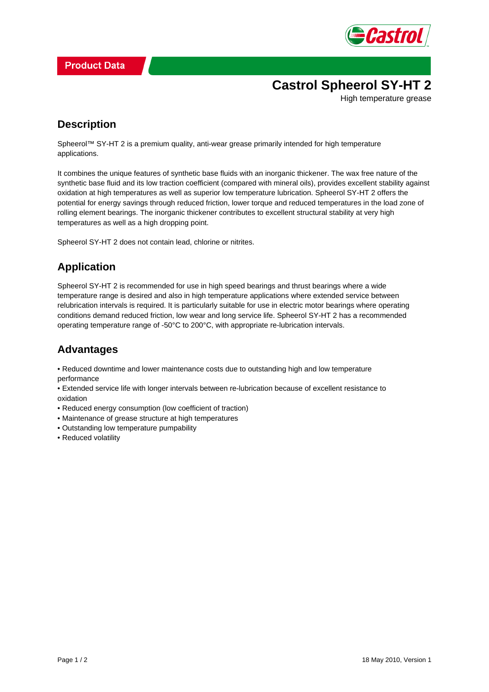

# **Castrol Spheerol SY-HT 2**

High temperature grease

### **Description**

Spheerol™ SY-HT 2 is a premium quality, anti-wear grease primarily intended for high temperature applications.

It combines the unique features of synthetic base fluids with an inorganic thickener. The wax free nature of the synthetic base fluid and its low traction coefficient (compared with mineral oils), provides excellent stability against oxidation at high temperatures as well as superior low temperature lubrication. Spheerol SY-HT 2 offers the potential for energy savings through reduced friction, lower torque and reduced temperatures in the load zone of rolling element bearings. The inorganic thickener contributes to excellent structural stability at very high temperatures as well as a high dropping point.

Spheerol SY-HT 2 does not contain lead, chlorine or nitrites.

## **Application**

Spheerol SY-HT 2 is recommended for use in high speed bearings and thrust bearings where a wide temperature range is desired and also in high temperature applications where extended service between relubrication intervals is required. It is particularly suitable for use in electric motor bearings where operating conditions demand reduced friction, low wear and long service life. Spheerol SY-HT 2 has a recommended operating temperature range of -50°C to 200°C, with appropriate re-lubrication intervals.

## **Advantages**

• Reduced downtime and lower maintenance costs due to outstanding high and low temperature performance

• Extended service life with longer intervals between re-lubrication because of excellent resistance to oxidation

- Reduced energy consumption (low coefficient of traction)
- Maintenance of grease structure at high temperatures
- Outstanding low temperature pumpability
- Reduced volatility